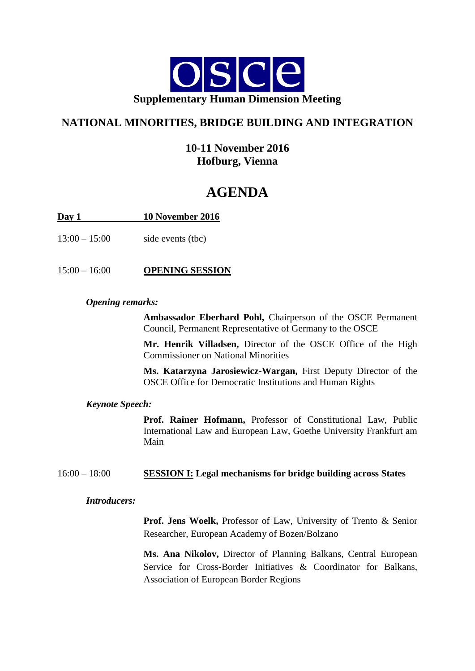

# **NATIONAL MINORITIES, BRIDGE BUILDING AND INTEGRATION**

# **10-11 November 2016 Hofburg, Vienna**

# **AGENDA**

# **Day 1** 10 November 2016

13:00 – 15:00 side events (tbc)

15:00 – 16:00 **OPENING SESSION**

# *Opening remarks:*

**Ambassador Eberhard Pohl,** Chairperson of the OSCE Permanent Council, Permanent Representative of Germany to the OSCE

**Mr. Henrik Villadsen,** Director of the OSCE Office of the High Commissioner on National Minorities

**Ms. Katarzyna Jarosiewicz-Wargan,** First Deputy Director of the OSCE Office for Democratic Institutions and Human Rights

#### *Keynote Speech:*

**Prof. Rainer Hofmann,** Professor of Constitutional Law, Public International Law and European Law, Goethe University Frankfurt am Main

# 16:00 – 18:00 **SESSION I: Legal mechanisms for bridge building across States**

#### *Introducers:*

**Prof. Jens Woelk,** Professor of Law, University of Trento & Senior Researcher, European Academy of Bozen/Bolzano

**Ms. Ana Nikolov,** Director of Planning Balkans, Central European Service for Cross-Border Initiatives & Coordinator for Balkans, Association of European Border Regions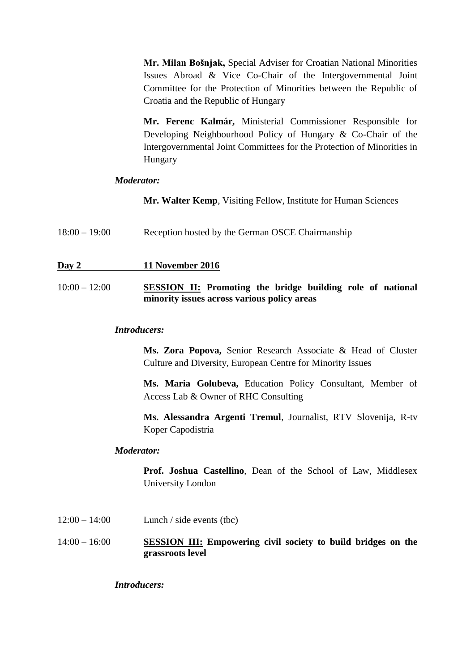**Mr. Milan Bošnjak,** Special Adviser for Croatian National Minorities Issues Abroad & Vice Co-Chair of the Intergovernmental Joint Committee for the Protection of Minorities between the Republic of Croatia and the Republic of Hungary

**Mr. Ferenc Kalmár,** Ministerial Commissioner Responsible for Developing Neighbourhood Policy of Hungary & Co-Chair of the Intergovernmental Joint Committees for the Protection of Minorities in Hungary

#### *Moderator:*

**Mr. Walter Kemp**, Visiting Fellow, Institute for Human Sciences

18:00 – 19:00 Reception hosted by the German OSCE Chairmanship

# **Day 2** 11 November 2016

10:00 – 12:00 **SESSION II: Promoting the bridge building role of national minority issues across various policy areas**

#### *Introducers:*

**Ms. Zora Popova,** Senior Research Associate & Head of Cluster Culture and Diversity, European Centre for Minority Issues

**Ms. Maria Golubeva,** Education Policy Consultant, Member of Access Lab & Owner of RHC Consulting

**Ms. Alessandra Argenti Tremul**, Journalist, RTV Slovenija, R-tv Koper Capodistria

# *Moderator:*

**Prof. Joshua Castellino**, Dean of the School of Law, Middlesex University London

- $12:00 14:00$  Lunch / side events (tbc)
- 14:00 16:00 **SESSION III: Empowering civil society to build bridges on the grassroots level**

*Introducers:*